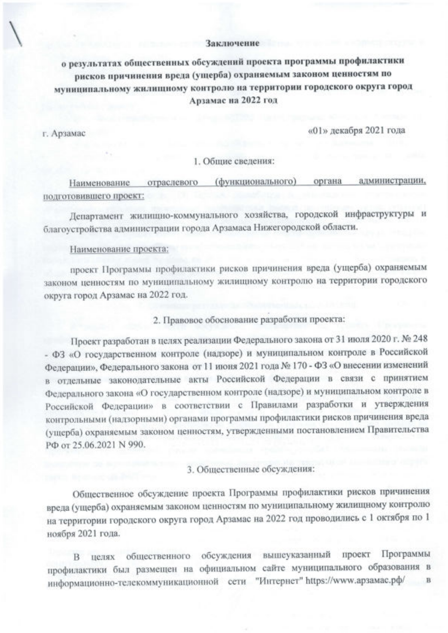## Заключение

о результатах общественных обсуждений проекта программы профилактики рисков причинения вреда (ущерба) охраняемым законом ценностям по муниципальному жилищному контролю на территории городского округа город Арзамас на 2022 год

г. Арзамас

«01» декабря 2021 года

## 1. Общие сведения:

(функционального) органа администрации, Наименование отраслевого подготовившего проект:

Департамент жилищно-коммунального хозяйства, городской инфраструктуры и благоустройства администрации города Арзамаса Нижегородской области.

## Наименование проекта:

проект Программы профилактики рисков причинения вреда (ущерба) охраняемым законом ценностям по муниципальному жилищному контролю на территории городского округа город Арзамас на 2022 год.

2. Правовое обоснование разработки проекта:

Проект разработан в целях реализации Федерального закона от 31 июля 2020 г. № 248 - ФЗ «О государственном контроле (надзоре) и муниципальном контроле в Российской Федерации», Федерального закона от 11 июня 2021 года № 170 - ФЗ «О внесении изменений в отдельные законодательные акты Российской Федерации в связи с принятием Федерального закона «О государственном контроле (надзоре) и муниципальном контроле в Российской Федерации» в соответствии с Правилами разработки и утверждения контрольными (надзорными) органами программы профилактики рисков причинения вреда (ущерба) охраняемым законом ценностям, утвержденными постановлением Правительства РФ от 25.06.2021 N 990.

3. Общественные обсуждения:

Общественное обсуждение проекта Программы профилактики рисков причинения вреда (ущерба) охраняемым законом ценностям по муниципальному жилищному контролю на территории городского округа город Арзамас на 2022 год проводились с 1 октября по 1 ноября 2021 года.

В целях общественного обсуждения вышеуказанный проект Программы профилактики был размещен на официальном сайте муниципального образования в информационно-телекоммуникационной сети "Интернет" https://www.apзaмac.pф/